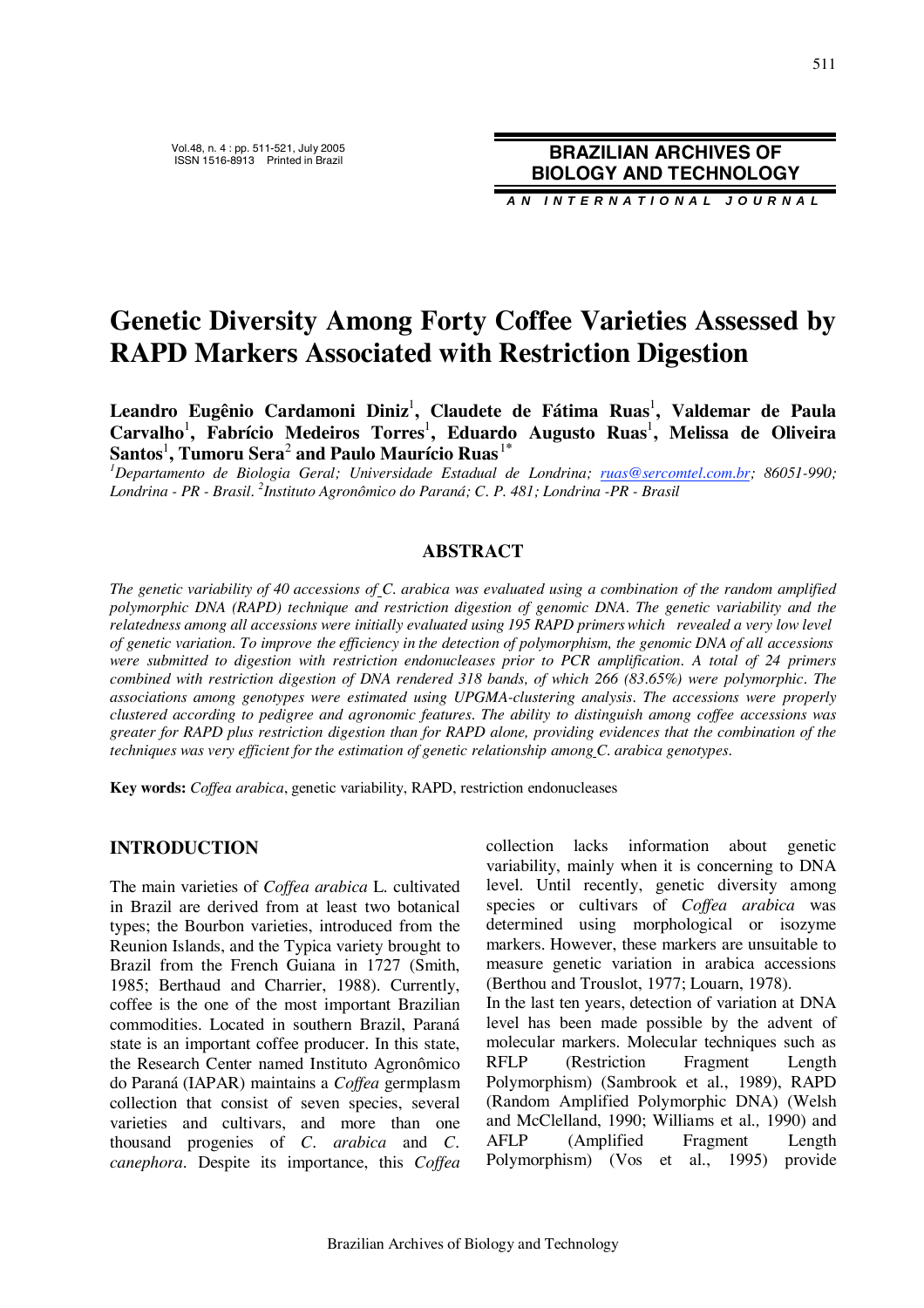ISSN 1516-8913 Printed in Brazil **BRAZILIAN ARCHIVES OF BIOLOGY AND TECHNOLOGY**

**A N I N T E R N A T I O N A L J O U R N A L**

# **Genetic Diversity Among Forty Coffee Varieties Assessed by RAPD Markers Associated with Restriction Digestion**

**Leandro Eugênio Cardamoni Diniz** 1 **, Claudete de Fátima Ruas** 1 **, Valdemar de Paula Carvalho**<sup>1</sup> **, Fabrício Medeiros Torres** 1 **, Eduardo Augusto Ruas** 1 **, Melissa de Oliveira Santos** 1 **, Tumoru Sera**<sup>2</sup> **and Paulo Maurício Ruas**<sup>1</sup>**\***

*1 Departamento de Biologia Geral; Universidade Estadual de Londrina; ruas@sercomtel.com.br; 86051-990; Londrina - PR - Brasil. <sup>2</sup> Instituto Agronômico do Paraná; C. P. 481; Londrina -PR - Brasil*

#### **ABSTRACT**

*The genetic variability of 40 accessions of C. arabica was evaluated using a combination of the random amplified polymorphic DNA (RAPD) technique and restriction digestion of genomic DNA. The genetic variability and the relatedness among all accessions were initially evaluated using 195 RAPD primerswhich revealed a very low level* of genetic variation. To improve the efficiency in the detection of polymorphism, the genomic DNA of all accessions *were submitted to digestion with restriction endonucleases prior to PCR amplification. A total of 24 primers combined with restriction digestion of DNA rendered 318 bands, of which 266 (83.65%) were polymorphic. The associations among genotypes were estimated using UPGMA-clustering analysis. The accessions were properly clustered according to pedigree and agronomic features. The ability to distinguish among coffee accessions was greater for RAPD plus restriction digestion than for RAPD alone, providing evidences that the combination of the techniques was very efficient for the estimation of genetic relationship among C. arabica genotypes.*

**Key words:** *Coffea arabica*, genetic variability, RAPD, restriction endonucleases

#### **INTRODUCTION**

The main varieties of *Coffea arabica* L. cultivated in Brazil are derived from at least two botanical types; the Bourbon varieties, introduced from the Reunion Islands, and the Typica variety brought to Brazil from the French Guiana in 1727 (Smith, 1985; Berthaud and Charrier, 1988). Currently, coffee is the one of the most important Brazilian commodities. Located in southern Brazil, Paraná state is an important coffee producer. In this state, the Research Center named Instituto Agronômico do Paraná (IAPAR) maintains a *Coffea* germplasm collection that consist of seven species, several varieties and cultivars, and more than one thousand progenies of *C. arabica* and *C. canephora*. Despite its importance, this *Coffea*

collection lacks information about genetic variability, mainly when it is concerning to DNA level. Until recently, genetic diversity among species or cultivars of *Coffea arabica* was determined using morphological or isozyme markers. However, these markers are unsuitable to measure genetic variation in arabica accessions (Berthou and Trouslot, 1977; Louarn, 1978). In the last ten years, detection of variation at DNA level has been made possible by the advent of molecular markers. Molecular techniques such as RFLP (Restriction Fragment Length Polymorphism) (Sambrook et al*.*, 1989), RAPD (Random Amplified Polymorphic DNA) (Welsh and McClelland, 1990; Williams et al*.,* 1990) and AFLP (Amplified Fragment Length Polymorphism) (Vos et al*.*, 1995) provide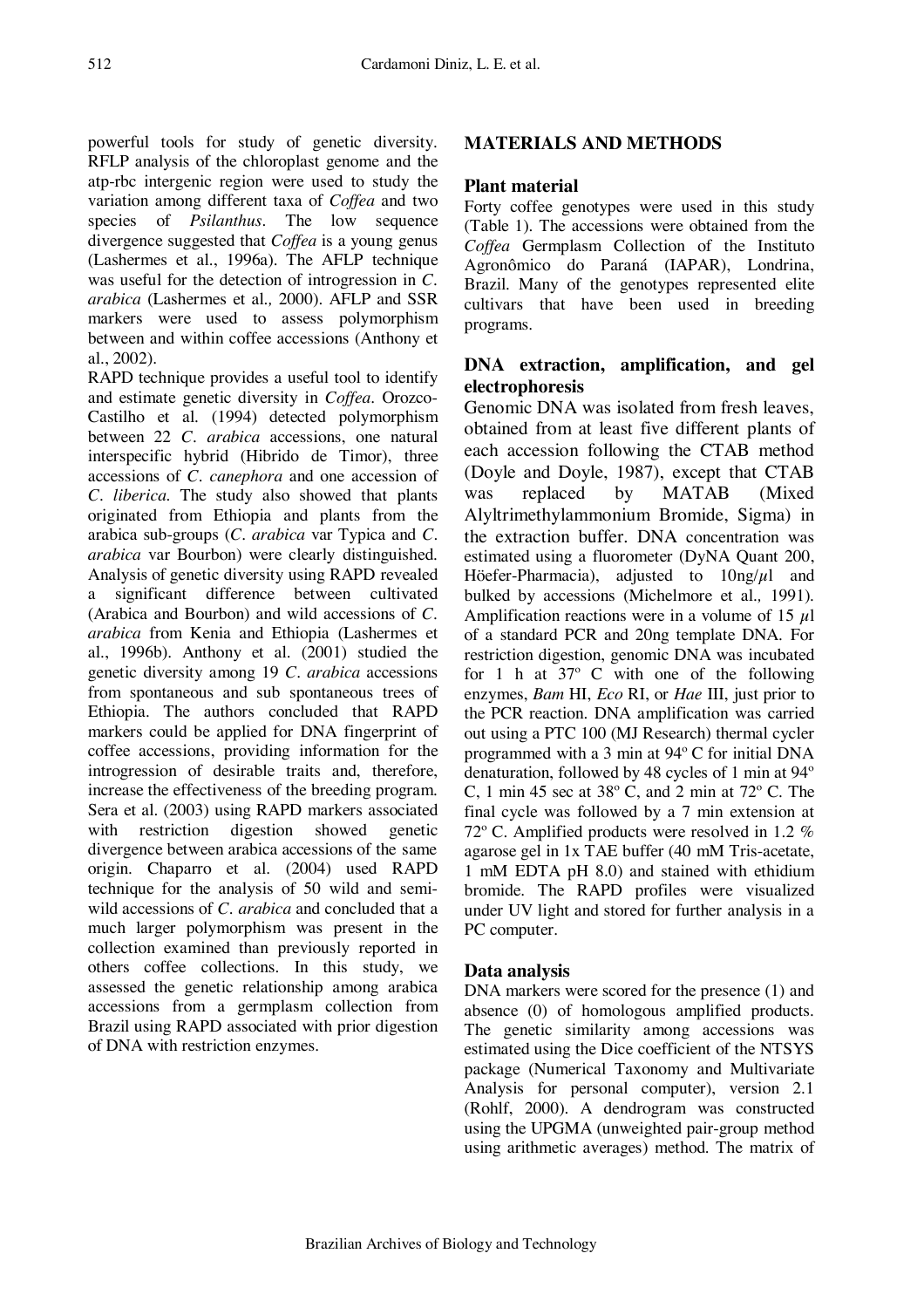powerful tools for study of genetic diversity. RFLP analysis of the chloroplast genome and the atp-rbc intergenic region were used to study the variation among different taxa of *Coffea* and two species of *Psilanthus*. The low sequence divergence suggested that *Coffea* is a young genus (Lashermes et al., 1996a). The AFLP technique was useful for the detection of introgression in *C. arabica* (Lashermes et al*.,* 2000). AFLP and SSR markers were used to assess polymorphism between and within coffee accessions (Anthony et al*.*, 2002).

RAPD technique provides a useful tool to identify and estimate genetic diversity in *Coffea.* Orozco-Castilho et al*.* (1994) detected polymorphism between 22 *C. arabica* accessions, one natural interspecific hybrid (Hibrido de Timor), three accessions of *C. canephora* and one accession of *C. liberica*. The study also showed that plants originated from Ethiopia and plants from the arabica sub-groups (*C. arabica* var Typica and *C. arabica* var Bourbon) were clearly distinguished. Analysis of genetic diversity using RAPD revealed a significant difference between cultivated (Arabica and Bourbon) and wild accessions of *C. arabica* from Kenia and Ethiopia (Lashermes et al., 1996b). Anthony et al*.* (2001) studied the genetic diversity among 19 *C. arabica* accessions from spontaneous and sub spontaneous trees of Ethiopia. The authors concluded that RAPD markers could be applied for DNA fingerprint of coffee accessions, providing information for the introgression of desirable traits and, therefore, increase the effectiveness of the breeding program. Sera et al. (2003) using RAPD markers associated with restriction digestion showed genetic divergence between arabica accessions of the same origin*.* Chaparro et al. (2004) used RAPD technique for the analysis of 50 wild and semiwild accessions of *C. arabica* and concluded that a much larger polymorphism was present in the collection examined than previously reported in others coffee collections. In this study, we assessed the genetic relationship among arabica accessions from a germplasm collection from Brazil using RAPD associated with prior digestion of DNA with restriction enzymes.

## **MATERIALS AND METHODS**

#### **Plant material**

Forty coffee genotypes were used in this study (Table 1). The accessions were obtained from the *Coffea* Germplasm Collection of the Instituto Agronômico do Paraná (IAPAR), Londrina, Brazil. Many of the genotypes represented elite cultivars that have been used in breeding programs.

## **DNA extraction, amplification, and gel electrophoresis**

Genomic DNA was isolated from fresh leaves, obtained from at least five different plants of each accession following the CTAB method (Doyle and Doyle, 1987), except that CTAB was replaced by MATAB (Mixed Alyltrimethylammonium Bromide, Sigma) in the extraction buffer. DNA concentration was estimated using a fluorometer (DyNA Quant 200, Höefer-Pharmacia), adjusted to  $10ng/\mu l$  and bulked by accessions (Michelmore et al*.,* 1991). Amplification reactions were in a volume of 15  $\mu$ l of a standard PCR and 20ng template DNA. For restriction digestion, genomic DNA was incubated for 1 h at 37º C with one of the following enzymes, *Bam* HI, *Eco* RI, or *Hae* III, just prior to the PCR reaction. DNA amplification was carried out using a PTC 100 (MJ Research) thermal cycler programmed with a 3 min at 94º C for initial DNA denaturation, followed by 48 cycles of 1 min at 94º C, 1 min 45 sec at 38º C, and 2 min at 72º C. The final cycle was followed by a 7 min extension at 72º C. Amplified products were resolved in 1.2 % agarose gel in 1x TAE buffer (40 mM Tris-acetate, 1 mM EDTA pH 8.0) and stained with ethidium bromide. The RAPD profiles were visualized under UV light and stored for further analysis in a PC computer.

#### **Data analysis**

DNA markers were scored for the presence (1) and absence (0) of homologous amplified products. The genetic similarity among accessions was estimated using the Dice coefficient of the NTSYS package (Numerical Taxonomy and Multivariate Analysis for personal computer), version 2.1 (Rohlf, 2000). A dendrogram was constructed using the UPGMA (unweighted pair-group method using arithmetic averages) method. The matrix of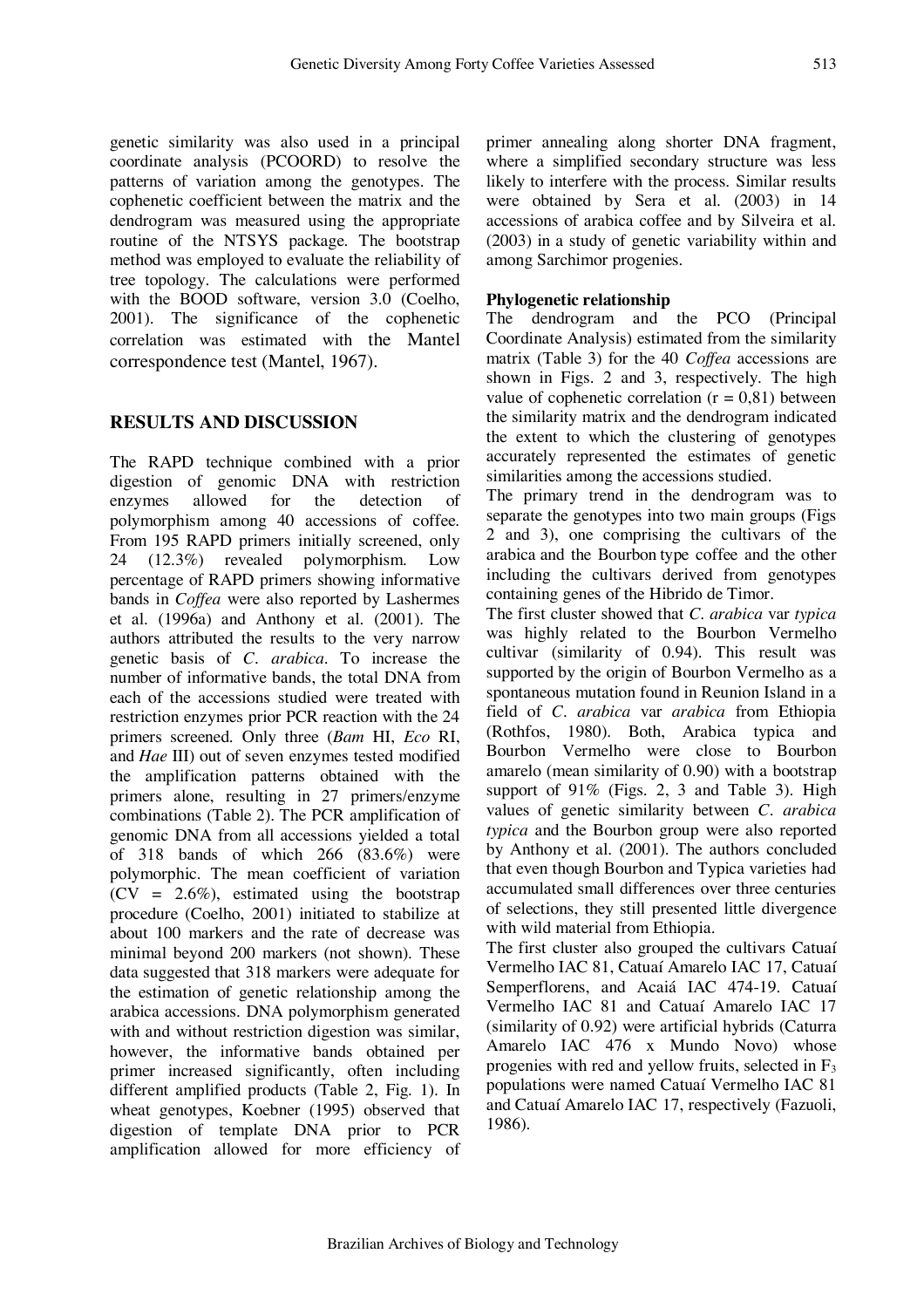genetic similarity was also used in a principal coordinate analysis (PCOORD) to resolve the patterns of variation among the genotypes. The cophenetic coefficient between the matrix and the dendrogram was measured using the appropriate routine of the NTSYS package. The bootstrap method was employed to evaluate the reliability of tree topology. The calculations were performed with the BOOD software, version 3.0 (Coelho, 2001). The significance of the cophenetic correlation was estimated with the Mantel correspondence test (Mantel, 1967).

#### **RESULTS AND DISCUSSION**

The RAPD technique combined with a prior digestion of genomic DNA with restriction enzymes allowed for the detection of polymorphism among 40 accessions of coffee. From 195 RAPD primers initially screened, only 24 (12.3%) revealed polymorphism. Low percentage of RAPD primers showing informative bands in *Coffea* were also reported by Lashermes et al*.* (1996a) and Anthony et al*.* (2001). The authors attributed the results to the very narrow genetic basis of *C. arabica.* To increase the number of informative bands, the total DNA from each of the accessions studied were treated with restriction enzymes prior PCR reaction with the 24 primers screened. Only three (*Bam* HI, *Eco* RI, and *Hae* III) out of seven enzymes tested modified the amplification patterns obtained with the primers alone, resulting in 27 primers/enzyme combinations (Table 2). The PCR amplification of genomic DNA from all accessions yielded a total of 318 bands of which 266 (83.6%) were polymorphic. The mean coefficient of variation  $(CV = 2.6\%)$ , estimated using the bootstrap procedure (Coelho, 2001) initiated to stabilize at about 100 markers and the rate of decrease was minimal beyond 200 markers (not shown). These data suggested that 318 markers were adequate for the estimation of genetic relationship among the arabica accessions. DNA polymorphism generated with and without restriction digestion was similar. however, the informative bands obtained per primer increased significantly, often including different amplified products (Table 2, Fig. 1). In wheat genotypes, Koebner (1995) observed that digestion of template DNA prior to PCR amplification allowed for more efficiency of

primer annealing along shorter DNA fragment, where a simplified secondary structure was less likely to interfere with the process. Similar results were obtained by Sera et al*.* (2003) in 14 accessions of arabica coffee and by Silveira et al*.* (2003) in a study of genetic variability within and among Sarchimor progenies.

#### **Phylogenetic relationship**

The dendrogram and the PCO (Principal Coordinate Analysis) estimated from the similarity matrix (Table 3) for the 40 *Coffea* accessions are shown in Figs. 2 and 3, respectively. The high value of cophenetic correlation  $(r = 0.81)$  between the similarity matrix and the dendrogram indicated the extent to which the clustering of genotypes accurately represented the estimates of genetic similarities among the accessions studied.

The primary trend in the dendrogram was to separate the genotypes into two main groups (Figs 2 and 3), one comprising the cultivars of the arabica and the Bourbon type coffee and the other including the cultivars derived from genotypes containing genes of the Hibrido de Timor.

The first cluster showed that *C. arabica* var *typica* was highly related to the Bourbon Vermelho cultivar (similarity of 0.94). This result was supported by the origin of Bourbon Vermelho as a spontaneous mutation found in Reunion Island in a field of *C. arabica* var *arabica* from Ethiopia (Rothfos, 1980). Both, Arabica typica and Bourbon Vermelho were close to Bourbon amarelo (mean similarity of 0.90) with a bootstrap support of 91% (Figs. 2, 3 and Table 3). High values of genetic similarity between *C. arabica typica* and the Bourbon group were also reported by Anthony et al*.* (2001). The authors concluded that even though Bourbon and Typica varieties had accumulated small differences over three centuries of selections, they still presented little divergence with wild material from Ethiopia.

The first cluster also grouped the cultivars Catuaí Vermelho IAC 81, Catuaí Amarelo IAC 17, Catuaí Semperflorens, and Acaiá IAC 474-19. Catuaí Vermelho IAC 81 and Catuaí Amarelo IAC 17 (similarity of 0.92) were artificial hybrids (Caturra Amarelo IAC 476 x Mundo Novo) whose progenies with red and yellow fruits, selected in  $F_3$ populations were named Catuaí Vermelho IAC 81 and Catuaí Amarelo IAC 17, respectively (Fazuoli, 1986).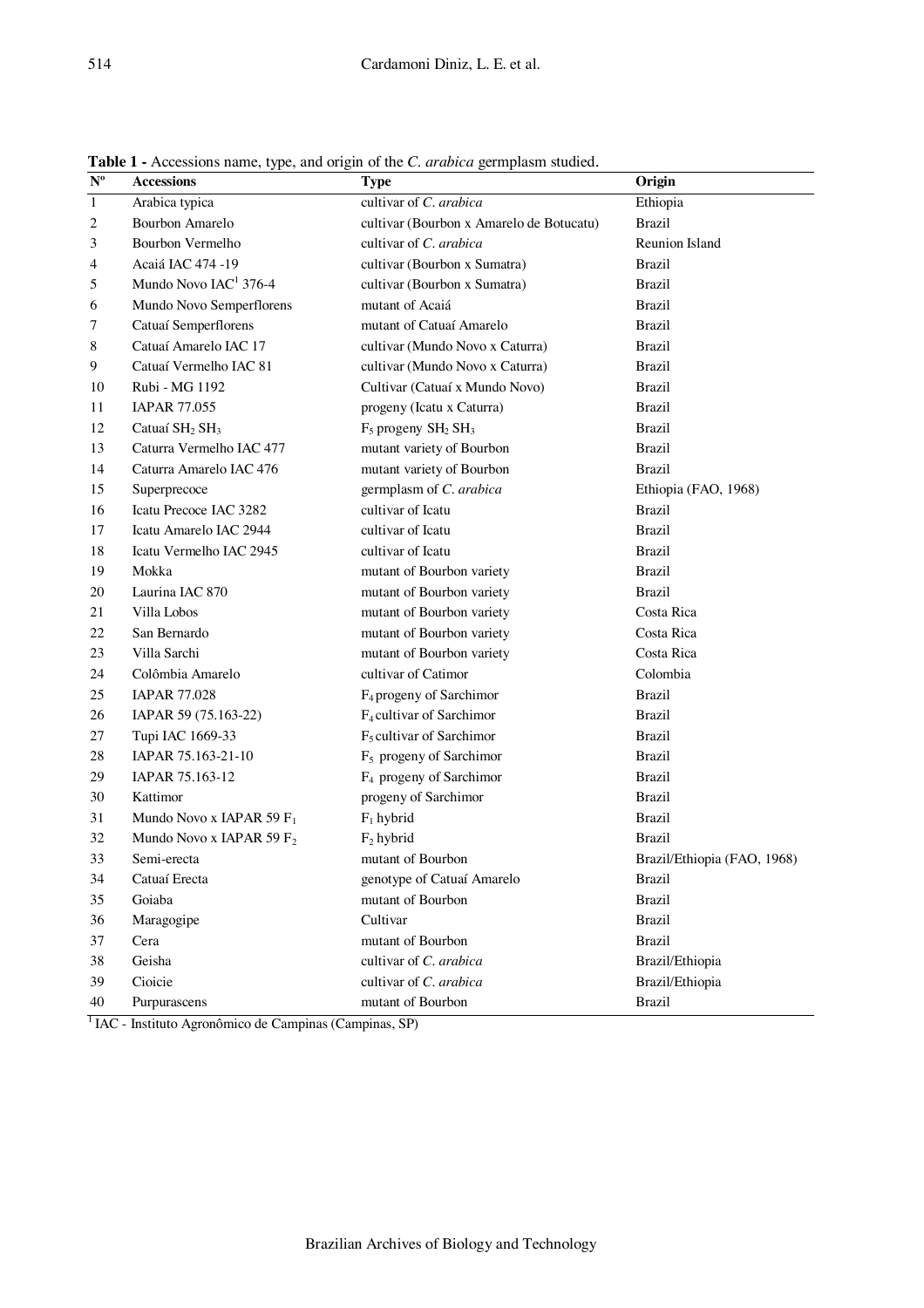| $\overline{\mathbf{N}^{\text{o}}}$ | <b>Accessions</b>                      | <b>Type</b>                              | Origin                      |
|------------------------------------|----------------------------------------|------------------------------------------|-----------------------------|
| $\mathbf{1}$                       | Arabica typica                         | cultivar of C. arabica                   | Ethiopia                    |
| 2                                  | Bourbon Amarelo                        | cultivar (Bourbon x Amarelo de Botucatu) | <b>Brazil</b>               |
| 3                                  | Bourbon Vermelho                       | cultivar of C. arabica                   | Reunion Island              |
| 4                                  | Acaiá IAC 474 -19                      | cultivar (Bourbon x Sumatra)             | <b>Brazil</b>               |
| 5                                  | Mundo Novo IAC <sup>1</sup> 376-4      | cultivar (Bourbon x Sumatra)             | <b>Brazil</b>               |
| 6                                  | Mundo Novo Semperflorens               | mutant of Acaiá                          | <b>Brazil</b>               |
| 7                                  | Catuaí Semperflorens                   | mutant of Catuaí Amarelo                 | <b>Brazil</b>               |
| 8                                  | Catuaí Amarelo IAC 17                  | cultivar (Mundo Novo x Caturra)          | <b>Brazil</b>               |
| 9                                  | Catuaí Vermelho IAC 81                 | cultivar (Mundo Novo x Caturra)          | <b>Brazil</b>               |
| 10                                 | Rubi - MG 1192                         | Cultivar (Catuaí x Mundo Novo)           | <b>Brazil</b>               |
| 11                                 | <b>IAPAR 77.055</b>                    | progeny (Icatu x Caturra)                | <b>Brazil</b>               |
| 12                                 | Catuaí SH <sub>2</sub> SH <sub>3</sub> | $F_5$ progeny $SH_2 SH_3$                | <b>Brazil</b>               |
| 13                                 | Caturra Vermelho IAC 477               | mutant variety of Bourbon                | <b>Brazil</b>               |
| 14                                 | Caturra Amarelo IAC 476                | mutant variety of Bourbon                | <b>Brazil</b>               |
| 15                                 | Superprecoce                           | germplasm of C. arabica                  | Ethiopia (FAO, 1968)        |
| 16                                 | Icatu Precoce IAC 3282                 | cultivar of Icatu                        | <b>Brazil</b>               |
| 17                                 | Icatu Amarelo IAC 2944                 | cultivar of Icatu                        | <b>Brazil</b>               |
| 18                                 | Icatu Vermelho IAC 2945                | cultivar of Icatu                        | <b>Brazil</b>               |
| 19                                 | Mokka                                  | mutant of Bourbon variety                | <b>Brazil</b>               |
| 20                                 | Laurina IAC 870                        | mutant of Bourbon variety                | <b>Brazil</b>               |
| 21                                 | Villa Lobos                            | mutant of Bourbon variety                | Costa Rica                  |
| 22                                 | San Bernardo                           | mutant of Bourbon variety                | Costa Rica                  |
| 23                                 | Villa Sarchi                           | mutant of Bourbon variety                | Costa Rica                  |
| 24                                 | Colômbia Amarelo                       | cultivar of Catimor                      | Colombia                    |
| 25                                 | <b>IAPAR 77.028</b>                    | F <sub>4</sub> progeny of Sarchimor      | <b>Brazil</b>               |
| 26                                 | IAPAR 59 (75.163-22)                   | F <sub>4</sub> cultivar of Sarchimor     | <b>Brazil</b>               |
| 27                                 | Tupi IAC 1669-33                       | $F5$ cultivar of Sarchimor               | <b>Brazil</b>               |
| 28                                 | IAPAR 75.163-21-10                     | F <sub>5</sub> progeny of Sarchimor      | <b>Brazil</b>               |
| 29                                 | IAPAR 75.163-12                        | F <sub>4</sub> progeny of Sarchimor      | <b>Brazil</b>               |
| 30                                 | Kattimor                               | progeny of Sarchimor                     | <b>Brazil</b>               |
| 31                                 | Mundo Novo x IAPAR 59 $F_1$            | $F_1$ hybrid                             | <b>Brazil</b>               |
| 32                                 | Mundo Novo x IAPAR 59 $F_2$            | $F_2$ hybrid                             | <b>Brazil</b>               |
| 33                                 | Semi-erecta                            | mutant of Bourbon                        | Brazil/Ethiopia (FAO, 1968) |
| 34                                 | Catuaí Erecta                          | genotype of Catuaí Amarelo               | <b>Brazil</b>               |
| 35                                 | Goiaba                                 | mutant of Bourbon                        | <b>Brazil</b>               |
| 36                                 | Maragogipe                             | Cultivar                                 | <b>Brazil</b>               |
| 37                                 | Cera                                   | mutant of Bourbon                        | <b>Brazil</b>               |
| 38                                 | Geisha                                 | cultivar of C. arabica                   | Brazil/Ethiopia             |
| 39                                 | Cioicie                                | cultivar of C. arabica                   | Brazil/Ethiopia             |
| 40                                 | Purpurascens                           | mutant of Bourbon                        | <b>Brazil</b>               |

**Table 1 -** Accessions name, type, and origin of the *C. arabica* germplasm studied.

IAC - Instituto Agronômico de Campinas (Campinas, SP)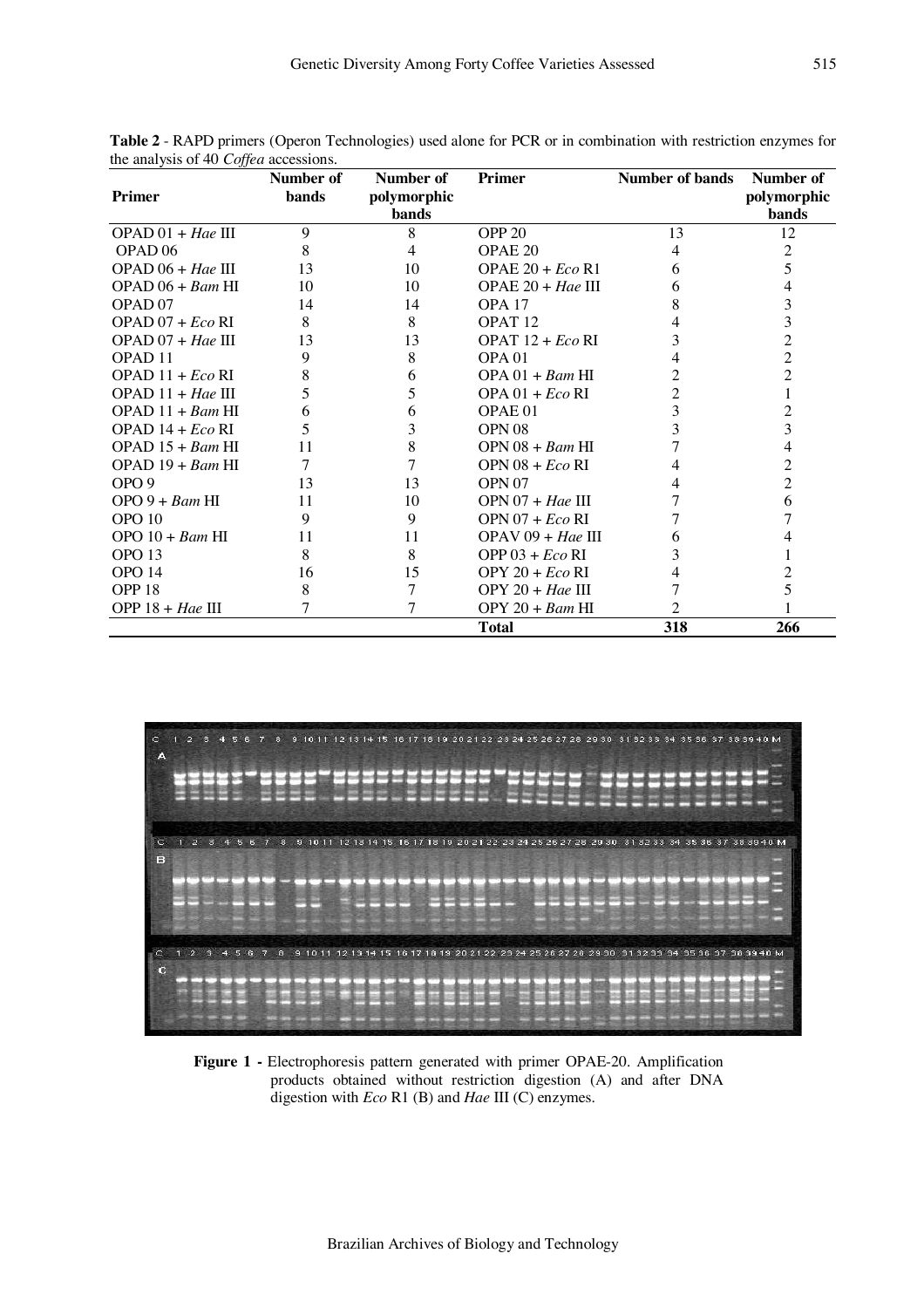| JJ                  | Number of            | Number of | <b>Primer</b>       | <b>Number of bands</b> | Number of      |  |  |
|---------------------|----------------------|-----------|---------------------|------------------------|----------------|--|--|
| <b>Primer</b>       | bands<br>polymorphic |           |                     |                        | polymorphic    |  |  |
|                     |                      | bands     |                     |                        | bands          |  |  |
| $OPAD 01 + Hae III$ | $\mathbf Q$          | 8         | OPP <sub>20</sub>   | 13                     | 12             |  |  |
| OPAD <sub>06</sub>  |                      | 4         | OPAE 20             | 4                      | 2              |  |  |
| $OPAD 06 + Hae III$ | 13                   | 10        | OPAE $20 + Eco$ R1  | 6                      | 5              |  |  |
| $OPAD 06 + Bam HI$  | 10                   | 10        | OPAE $20 + Hae$ III | 6                      | 4              |  |  |
| OPAD <sub>07</sub>  | 14                   | 14        | OPA <sub>17</sub>   | 8                      | 3              |  |  |
| $OPAD 07 + Eco RI$  | 8                    | 8         | OPAT <sub>12</sub>  |                        | 3              |  |  |
| $OPAD 07 + Hae III$ | 13                   | 13        | OPAT $12 + Eco$ RI  | 3                      | $\overline{c}$ |  |  |
| OPAD <sub>11</sub>  | 9                    | 8         | OPA <sub>01</sub>   |                        | $\overline{c}$ |  |  |
| OPAD $11 + Eco$ RI  | 8                    | 6         | $OPA 01 + Bam$ HI   |                        | $\overline{c}$ |  |  |
| $OPAD 11 + Hae III$ | 5                    | 5         | OPA $01 + Eco$ RI   | $\overline{c}$         |                |  |  |
| $OPAD 11 + Bam HI$  | 6                    | 6         | OPAE <sub>01</sub>  | 3                      | $\overline{c}$ |  |  |
| OPAD $14 + Eco$ RI  | 5                    | 3         | OPN <sub>08</sub>   | 3                      | 3              |  |  |
| $OPAD 15 + Bam HI$  | 11                   | 8         | $OPN$ 08 + $Ram$ HI |                        | 4              |  |  |
| $OPAD 19 + Bam HI$  | 7                    | 7         | OPN $08 + Eco$ RI   |                        | 2              |  |  |
| OPO <sub>9</sub>    | 13                   | 13        | OPN <sub>07</sub>   |                        | $\overline{c}$ |  |  |
| $OPO 9 + Bam$ HI    | 11                   | 10        | $OPN 07 + Hae III$  |                        | 6              |  |  |
| OPO <sub>10</sub>   | 9                    | 9         | $OPN 07 + Eco RI$   |                        |                |  |  |
| $OPO$ 10 + Bam HI   | 11                   | 11        | $OPAV 09 + Hae III$ | 6                      |                |  |  |
| OPO <sub>13</sub>   | 8                    | 8         | OPP $03 + Eco$ RI   | 3                      |                |  |  |
| OPO <sub>14</sub>   | 16                   | 15        | $OPY 20 + Eco RI$   | 4                      | 2              |  |  |
| OPP <sub>18</sub>   | 8                    | 7         | OPY $20 + Hae$ III  |                        | 5              |  |  |
| OPP $18 + Hae$ III  | 7                    | 7         | $OPY 20 + Bam$ HI   | $\mathfrak{D}$         |                |  |  |
|                     |                      |           | <b>Total</b>        | 318                    | 266            |  |  |

**Table 2** - RAPD primers (Operon Technologies) used alone for PCR or in combination with restriction enzymes for the analysis of 40 *Coffea* accessions.



**Figure 1 -** Electrophoresis pattern generated with primer OPAE-20. Amplification products obtained without restriction digestion (A) and after DNA digestion with *Eco* R1 (B) and *Hae* III (C) enzymes.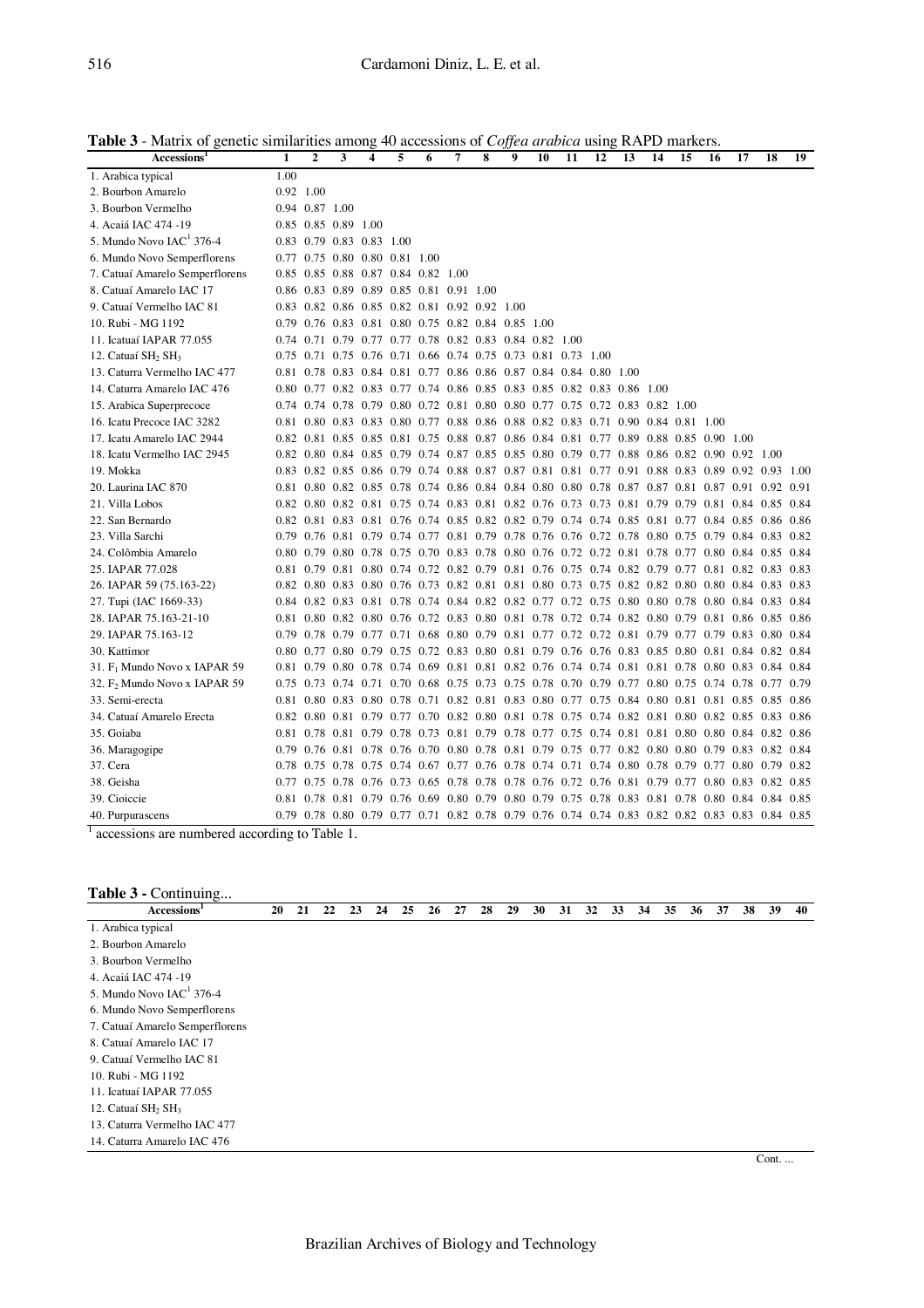| Accessions <sup>1</sup>                       | 1         | $\boldsymbol{2}$    | 3 | 4                                  | 5 | 6 | 7                                                                                              | 8 | 9 | 10 | 11 | 12 | 13 | 14 | 15 | 16 | 17 | 18 | 19 |
|-----------------------------------------------|-----------|---------------------|---|------------------------------------|---|---|------------------------------------------------------------------------------------------------|---|---|----|----|----|----|----|----|----|----|----|----|
| 1. Arabica typical                            | 1.00      |                     |   |                                    |   |   |                                                                                                |   |   |    |    |    |    |    |    |    |    |    |    |
| 2. Bourbon Amarelo                            | 0.92 1.00 |                     |   |                                    |   |   |                                                                                                |   |   |    |    |    |    |    |    |    |    |    |    |
| 3. Bourbon Vermelho                           |           | 0.94 0.87 1.00      |   |                                    |   |   |                                                                                                |   |   |    |    |    |    |    |    |    |    |    |    |
| 4. Acaiá IAC 474 -19                          |           | 0.85 0.85 0.89 1.00 |   |                                    |   |   |                                                                                                |   |   |    |    |    |    |    |    |    |    |    |    |
| 5. Mundo Novo IAC <sup>1</sup> 376-4          |           |                     |   | 0.83 0.79 0.83 0.83 1.00           |   |   |                                                                                                |   |   |    |    |    |    |    |    |    |    |    |    |
| 6. Mundo Novo Semperflorens                   |           |                     |   | 0.77 0.75 0.80 0.80 0.81 1.00      |   |   |                                                                                                |   |   |    |    |    |    |    |    |    |    |    |    |
| 7. Catuaí Amarelo Semperflorens               |           |                     |   | 0.85 0.85 0.88 0.87 0.84 0.82 1.00 |   |   |                                                                                                |   |   |    |    |    |    |    |    |    |    |    |    |
| 8. Catuaí Amarelo IAC 17                      |           |                     |   |                                    |   |   | 0.86 0.83 0.89 0.89 0.85 0.81 0.91 1.00                                                        |   |   |    |    |    |    |    |    |    |    |    |    |
| 9. Catuaí Vermelho IAC 81                     |           |                     |   |                                    |   |   | 0.83 0.82 0.86 0.85 0.82 0.81 0.92 0.92 1.00                                                   |   |   |    |    |    |    |    |    |    |    |    |    |
| 10. Rubi - MG 1192                            |           |                     |   |                                    |   |   | 0.79 0.76 0.83 0.81 0.80 0.75 0.82 0.84 0.85 1.00                                              |   |   |    |    |    |    |    |    |    |    |    |    |
| 11. Icatuaí IAPAR 77.055                      |           |                     |   |                                    |   |   | 0.74 0.71 0.79 0.77 0.77 0.78 0.82 0.83 0.84 0.82 1.00                                         |   |   |    |    |    |    |    |    |    |    |    |    |
| 12. Catuaí SH <sub>2</sub> SH <sub>3</sub>    |           |                     |   |                                    |   |   | 0.75 0.71 0.75 0.76 0.71 0.66 0.74 0.75 0.73 0.81 0.73 1.00                                    |   |   |    |    |    |    |    |    |    |    |    |    |
| 13. Caturra Vermelho IAC 477                  |           |                     |   |                                    |   |   | 0.81 0.78 0.83 0.84 0.81 0.77 0.86 0.86 0.87 0.84 0.84 0.80 1.00                               |   |   |    |    |    |    |    |    |    |    |    |    |
| 14. Caturra Amarelo IAC 476                   |           |                     |   |                                    |   |   | 0.80 0.77 0.82 0.83 0.77 0.74 0.86 0.85 0.83 0.85 0.82 0.83 0.86 1.00                          |   |   |    |    |    |    |    |    |    |    |    |    |
| 15. Arabica Superprecoce                      |           |                     |   |                                    |   |   | 0.74 0.74 0.78 0.79 0.80 0.72 0.81 0.80 0.80 0.77 0.75 0.72 0.83 0.82 1.00                     |   |   |    |    |    |    |    |    |    |    |    |    |
| 16. Icatu Precoce IAC 3282                    |           |                     |   |                                    |   |   | 0.81 0.80 0.83 0.83 0.80 0.77 0.88 0.86 0.88 0.82 0.83 0.71 0.90 0.84 0.81 1.00                |   |   |    |    |    |    |    |    |    |    |    |    |
| 17. Icatu Amarelo IAC 2944                    |           |                     |   |                                    |   |   | 0.82 0.81 0.85 0.85 0.81 0.75 0.88 0.87 0.86 0.84 0.81 0.77 0.89 0.88 0.85 0.90 1.00           |   |   |    |    |    |    |    |    |    |    |    |    |
| 18. Icatu Vermelho IAC 2945                   |           |                     |   |                                    |   |   | 0.82 0.80 0.84 0.85 0.79 0.74 0.87 0.85 0.85 0.80 0.79 0.77 0.88 0.86 0.82 0.90 0.92 1.00      |   |   |    |    |    |    |    |    |    |    |    |    |
| 19. Mokka                                     |           |                     |   |                                    |   |   | 0.83 0.82 0.85 0.86 0.79 0.74 0.88 0.87 0.87 0.81 0.81 0.77 0.91 0.88 0.83 0.89 0.92 0.93 1.00 |   |   |    |    |    |    |    |    |    |    |    |    |
| 20. Laurina IAC 870                           |           |                     |   |                                    |   |   | 0.81 0.80 0.82 0.85 0.78 0.74 0.86 0.84 0.84 0.80 0.80 0.78 0.87 0.87 0.81 0.87 0.91 0.92 0.91 |   |   |    |    |    |    |    |    |    |    |    |    |
| 21. Villa Lobos                               |           |                     |   |                                    |   |   | 0.82 0.80 0.82 0.81 0.75 0.74 0.83 0.81 0.82 0.76 0.73 0.73 0.81 0.79 0.79 0.81 0.84 0.85 0.84 |   |   |    |    |    |    |    |    |    |    |    |    |
| 22. San Bernardo                              |           |                     |   |                                    |   |   | 0.82 0.81 0.83 0.81 0.76 0.74 0.85 0.82 0.82 0.79 0.74 0.74 0.85 0.81 0.77 0.84 0.85 0.86 0.86 |   |   |    |    |    |    |    |    |    |    |    |    |
| 23. Villa Sarchi                              |           |                     |   |                                    |   |   | 0.79 0.76 0.81 0.79 0.74 0.77 0.81 0.79 0.78 0.76 0.76 0.72 0.78 0.80 0.75 0.79 0.84 0.83 0.82 |   |   |    |    |    |    |    |    |    |    |    |    |
| 24. Colômbia Amarelo                          |           |                     |   |                                    |   |   | 0.80 0.79 0.80 0.78 0.75 0.70 0.83 0.78 0.80 0.76 0.72 0.72 0.81 0.78 0.77 0.80 0.84 0.85 0.84 |   |   |    |    |    |    |    |    |    |    |    |    |
| 25. IAPAR 77.028                              |           |                     |   |                                    |   |   | 0.81 0.79 0.81 0.80 0.74 0.72 0.82 0.79 0.81 0.76 0.75 0.74 0.82 0.79 0.77 0.81 0.82 0.83 0.83 |   |   |    |    |    |    |    |    |    |    |    |    |
| 26. IAPAR 59 (75.163-22)                      |           |                     |   |                                    |   |   | 0.82 0.80 0.83 0.80 0.76 0.73 0.82 0.81 0.81 0.80 0.73 0.75 0.82 0.82 0.80 0.80 0.84 0.83 0.83 |   |   |    |    |    |    |    |    |    |    |    |    |
| 27. Tupi (IAC 1669-33)                        |           |                     |   |                                    |   |   | 0.84 0.82 0.83 0.81 0.78 0.74 0.84 0.82 0.82 0.77 0.72 0.75 0.80 0.80 0.78 0.80 0.84 0.83 0.84 |   |   |    |    |    |    |    |    |    |    |    |    |
| 28. IAPAR 75.163-21-10                        |           |                     |   |                                    |   |   | 0.81 0.80 0.82 0.80 0.76 0.72 0.83 0.80 0.81 0.78 0.72 0.74 0.82 0.80 0.79 0.81 0.86 0.85 0.86 |   |   |    |    |    |    |    |    |    |    |    |    |
| 29. IAPAR 75.163-12                           |           |                     |   |                                    |   |   | 0.79 0.78 0.79 0.77 0.71 0.68 0.80 0.79 0.81 0.77 0.72 0.72 0.81 0.79 0.77 0.79 0.83 0.80 0.84 |   |   |    |    |    |    |    |    |    |    |    |    |
| 30. Kattimor                                  |           |                     |   |                                    |   |   | 0.80 0.77 0.80 0.79 0.75 0.72 0.83 0.80 0.81 0.79 0.76 0.76 0.83 0.85 0.80 0.81 0.84 0.82 0.84 |   |   |    |    |    |    |    |    |    |    |    |    |
| 31. F <sub>1</sub> Mundo Novo x IAPAR 59      |           |                     |   |                                    |   |   | 0.81 0.79 0.80 0.78 0.74 0.69 0.81 0.81 0.82 0.76 0.74 0.74 0.81 0.81 0.78 0.80 0.83 0.84 0.84 |   |   |    |    |    |    |    |    |    |    |    |    |
| 32. F <sub>2</sub> Mundo Novo x IAPAR 59      |           |                     |   |                                    |   |   | 0.75 0.73 0.74 0.71 0.70 0.68 0.75 0.73 0.75 0.78 0.70 0.79 0.77 0.80 0.75 0.74 0.78 0.77 0.79 |   |   |    |    |    |    |    |    |    |    |    |    |
| 33. Semi-erecta                               |           |                     |   |                                    |   |   | 0.81 0.80 0.83 0.80 0.78 0.71 0.82 0.81 0.83 0.80 0.77 0.75 0.84 0.80 0.81 0.81 0.85 0.85 0.86 |   |   |    |    |    |    |    |    |    |    |    |    |
| 34. Catuaí Amarelo Erecta                     |           |                     |   |                                    |   |   | 0.82 0.80 0.81 0.79 0.77 0.70 0.82 0.80 0.81 0.78 0.75 0.74 0.82 0.81 0.80 0.82 0.85 0.83 0.86 |   |   |    |    |    |    |    |    |    |    |    |    |
| 35. Goiaba                                    |           |                     |   |                                    |   |   | 0.81 0.78 0.81 0.79 0.78 0.73 0.81 0.79 0.78 0.77 0.75 0.74 0.81 0.81 0.80 0.80 0.84 0.82 0.86 |   |   |    |    |    |    |    |    |    |    |    |    |
| 36. Maragogipe                                |           |                     |   |                                    |   |   | 0.79 0.76 0.81 0.78 0.76 0.70 0.80 0.78 0.81 0.79 0.75 0.77 0.82 0.80 0.80 0.79 0.83 0.82 0.84 |   |   |    |    |    |    |    |    |    |    |    |    |
| 37. Cera                                      |           |                     |   |                                    |   |   | 0.78 0.75 0.78 0.75 0.74 0.67 0.77 0.76 0.78 0.74 0.71 0.74 0.80 0.78 0.79 0.77 0.80 0.79 0.82 |   |   |    |    |    |    |    |    |    |    |    |    |
| 38. Geisha                                    |           |                     |   |                                    |   |   | 0.77 0.75 0.78 0.76 0.73 0.65 0.78 0.78 0.78 0.76 0.72 0.76 0.81 0.79 0.77 0.80 0.83 0.82 0.85 |   |   |    |    |    |    |    |    |    |    |    |    |
| 39. Cioiccie                                  |           |                     |   |                                    |   |   | 0.81 0.78 0.81 0.79 0.76 0.69 0.80 0.79 0.80 0.79 0.75 0.78 0.83 0.81 0.78 0.80 0.84 0.84 0.85 |   |   |    |    |    |    |    |    |    |    |    |    |
| 40. Purpurascens                              |           |                     |   |                                    |   |   | 0.79 0.78 0.80 0.79 0.77 0.71 0.82 0.78 0.79 0.76 0.74 0.74 0.83 0.82 0.82 0.83 0.83 0.84 0.85 |   |   |    |    |    |    |    |    |    |    |    |    |
| accessions are numbered according to Table 1. |           |                     |   |                                    |   |   |                                                                                                |   |   |    |    |    |    |    |    |    |    |    |    |

**Table 3** - Matrix of genetic similarities among 40 accessions of *Coffea arabica* using RAPD markers.

|  | <b>Table 3 - Continuing</b> |
|--|-----------------------------|
|--|-----------------------------|

| Accessions <sup>1</sup>         | 20 | 21 | 22 | 23 | 24 | 25 | 26 | 27 | 28 | 29 | 30 | 32 | 33 | 34 | 35 | 36 | 37 | 38 | 39 | 40 |
|---------------------------------|----|----|----|----|----|----|----|----|----|----|----|----|----|----|----|----|----|----|----|----|
| 1. Arabica typical              |    |    |    |    |    |    |    |    |    |    |    |    |    |    |    |    |    |    |    |    |
| 2. Bourbon Amarelo              |    |    |    |    |    |    |    |    |    |    |    |    |    |    |    |    |    |    |    |    |
| 3. Bourbon Vermelho             |    |    |    |    |    |    |    |    |    |    |    |    |    |    |    |    |    |    |    |    |
| 4. Acaiá IAC 474 -19            |    |    |    |    |    |    |    |    |    |    |    |    |    |    |    |    |    |    |    |    |
| 5. Mundo Novo $IAC1$ 376-4      |    |    |    |    |    |    |    |    |    |    |    |    |    |    |    |    |    |    |    |    |
| 6. Mundo Novo Semperflorens     |    |    |    |    |    |    |    |    |    |    |    |    |    |    |    |    |    |    |    |    |
| 7. Catuaí Amarelo Semperflorens |    |    |    |    |    |    |    |    |    |    |    |    |    |    |    |    |    |    |    |    |
| 8. Catuaí Amarelo IAC 17        |    |    |    |    |    |    |    |    |    |    |    |    |    |    |    |    |    |    |    |    |
| 9. Catuaí Vermelho IAC 81       |    |    |    |    |    |    |    |    |    |    |    |    |    |    |    |    |    |    |    |    |
| 10. Rubi - MG 1192              |    |    |    |    |    |    |    |    |    |    |    |    |    |    |    |    |    |    |    |    |
| 11. Icatuaí IAPAR 77.055        |    |    |    |    |    |    |    |    |    |    |    |    |    |    |    |    |    |    |    |    |
| 12. Catuaí $SH2 SH3$            |    |    |    |    |    |    |    |    |    |    |    |    |    |    |    |    |    |    |    |    |
| 13. Caturra Vermelho IAC 477    |    |    |    |    |    |    |    |    |    |    |    |    |    |    |    |    |    |    |    |    |
| 14. Caturra Amarelo IAC 476     |    |    |    |    |    |    |    |    |    |    |    |    |    |    |    |    |    |    |    |    |

Cont. ...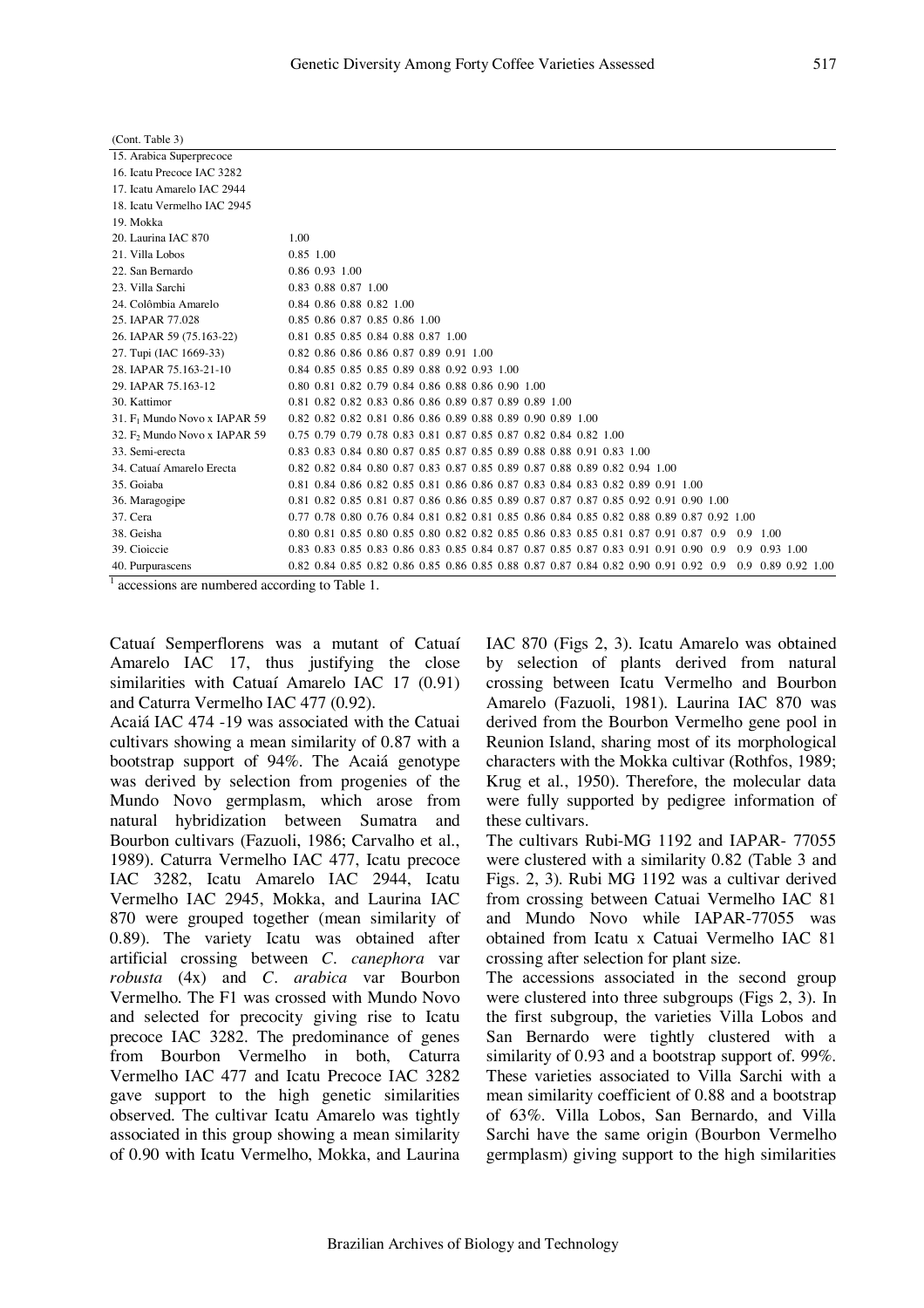| (Cont. Table 3)                          |                                                                                                                    |
|------------------------------------------|--------------------------------------------------------------------------------------------------------------------|
| 15. Arabica Superprecoce                 |                                                                                                                    |
| 16. Icatu Precoce IAC 3282               |                                                                                                                    |
| 17. Icatu Amarelo IAC 2944               |                                                                                                                    |
| 18. Icatu Vermelho IAC 2945              |                                                                                                                    |
| 19. Mokka                                |                                                                                                                    |
| 20. Laurina IAC 870                      | 1.00                                                                                                               |
| 21. Villa Lobos                          | 0.85 1.00                                                                                                          |
| 22. San Bernardo                         | 0.86 0.93 1.00                                                                                                     |
| 23. Villa Sarchi                         | 0.83 0.88 0.87 1.00                                                                                                |
| 24. Colômbia Amarelo                     | 0.84 0.86 0.88 0.82 1.00                                                                                           |
| 25. JAPAR 77.028                         | 0.85 0.86 0.87 0.85 0.86 1.00                                                                                      |
| 26. IAPAR 59 (75.163-22)                 | 0.81 0.85 0.85 0.84 0.88 0.87 1.00                                                                                 |
| 27. Tupi (IAC 1669-33)                   | 0.82 0.86 0.86 0.86 0.87 0.89 0.91 1.00                                                                            |
| 28. IAPAR 75.163-21-10                   | 0.84 0.85 0.85 0.85 0.89 0.88 0.92 0.93 1.00                                                                       |
| 29. JAPAR 75.163-12                      | 0.80 0.81 0.82 0.79 0.84 0.86 0.88 0.86 0.90 1.00                                                                  |
| 30. Kattimor                             | 0.81 0.82 0.82 0.83 0.86 0.86 0.89 0.87 0.89 0.89 1.00                                                             |
| 31. F <sub>1</sub> Mundo Novo x IAPAR 59 | 0.82 0.82 0.82 0.81 0.86 0.86 0.89 0.88 0.89 0.90 0.89 1.00                                                        |
| 32. F <sub>2</sub> Mundo Novo x IAPAR 59 | 0.75 0.79 0.79 0.78 0.83 0.81 0.87 0.85 0.87 0.82 0.84 0.82 1.00                                                   |
| 33. Semi-erecta                          | 0.83 0.83 0.84 0.80 0.87 0.85 0.87 0.85 0.89 0.88 0.88 0.91 0.83 1.00                                              |
| 34. Catuaí Amarelo Erecta                | 0.82 0.82 0.84 0.80 0.87 0.83 0.87 0.85 0.89 0.87 0.88 0.89 0.82 0.94 1.00                                         |
| 35. Goiaba                               | 0.81 0.84 0.86 0.82 0.85 0.81 0.86 0.86 0.87 0.83 0.84 0.83 0.82 0.89 0.91 1.00                                    |
| 36. Maragogipe                           | 0.81 0.82 0.85 0.81 0.87 0.86 0.86 0.85 0.89 0.87 0.87 0.87 0.85 0.92 0.91 0.90 1.00                               |
| 37. Cera                                 | 0.77 0.78 0.80 0.76 0.84 0.81 0.82 0.81 0.85 0.86 0.84 0.85 0.82 0.88 0.89 0.87 0.92 1.00                          |
| 38. Geisha                               | 0.80 0.81 0.85 0.80 0.85 0.80 0.82 0.82 0.85 0.86 0.83 0.85 0.81 0.87 0.91 0.87 0.9<br>$0.9$ 1.00                  |
| 39. Cioiccie                             | 0.83 0.83 0.85 0.83 0.86 0.83 0.85 0.84 0.87 0.87 0.85 0.87 0.83 0.91 0.91 0.90 0.9<br>$0.9 \quad 0.93 \quad 1.00$ |
| 40. Purpurascens                         | 0.82 0.84 0.85 0.82 0.86 0.85 0.86 0.85 0.88 0.87 0.87 0.84 0.82 0.90 0.91 0.92 0.9 0.9 0.89 0.92 1.00             |

 $\frac{1}{1}$  accessions are numbered according to Table 1.

Catuaí Semperflorens was a mutant of Catuaí Amarelo IAC 17, thus justifying the close similarities with Catuaí Amarelo IAC 17 (0.91) and Caturra Vermelho IAC 477 (0.92).

Acaiá IAC 474 -19 was associated with the Catuai cultivars showing a mean similarity of 0.87 with a bootstrap support of 94%. The Acaiá genotype was derived by selection from progenies of the Mundo Novo germplasm, which arose from natural hybridization between Sumatra and Bourbon cultivars (Fazuoli, 1986; Carvalho et al*.*, 1989). Caturra Vermelho IAC 477, Icatu precoce IAC 3282, Icatu Amarelo IAC 2944, Icatu Vermelho IAC 2945, Mokka, and Laurina IAC 870 were grouped together (mean similarity of 0.89). The variety Icatu was obtained after artificial crossing between *C. canephora* var *robusta* (4x) and *C. arabica* var Bourbon Vermelho. The F1 was crossed with Mundo Novo and selected for precocity giving rise to Icatu precoce IAC 3282. The predominance of genes from Bourbon Vermelho in both, Caturra Vermelho IAC 477 and Icatu Precoce IAC 3282 gave support to the high genetic similarities observed. The cultivar Icatu Amarelo was tightly associated in this group showing a mean similarity of 0.90 with Icatu Vermelho, Mokka, and Laurina

IAC 870 (Figs 2, 3). Icatu Amarelo was obtained by selection of plants derived from natural crossing between Icatu Vermelho and Bourbon Amarelo (Fazuoli, 1981). Laurina IAC 870 was derived from the Bourbon Vermelho gene pool in Reunion Island, sharing most of its morphological characters with the Mokka cultivar (Rothfos, 1989; Krug et al*.*, 1950). Therefore, the molecular data were fully supported by pedigree information of these cultivars.

The cultivars Rubi-MG 1192 and IAPAR- 77055 were clustered with a similarity 0.82 (Table 3 and Figs. 2, 3). Rubi MG 1192 was a cultivar derived from crossing between Catuai Vermelho IAC 81 and Mundo Novo while IAPAR-77055 was obtained from Icatu x Catuai Vermelho IAC 81 crossing after selection for plant size.

The accessions associated in the second group were clustered into three subgroups (Figs 2, 3). In the first subgroup, the varieties Villa Lobos and San Bernardo were tightly clustered with a similarity of 0.93 and a bootstrap support of. 99%. These varieties associated to Villa Sarchi with a mean similarity coefficient of 0.88 and a bootstrap of 63%. Villa Lobos, San Bernardo, and Villa Sarchi have the same origin (Bourbon Vermelho germplasm) giving support to the high similarities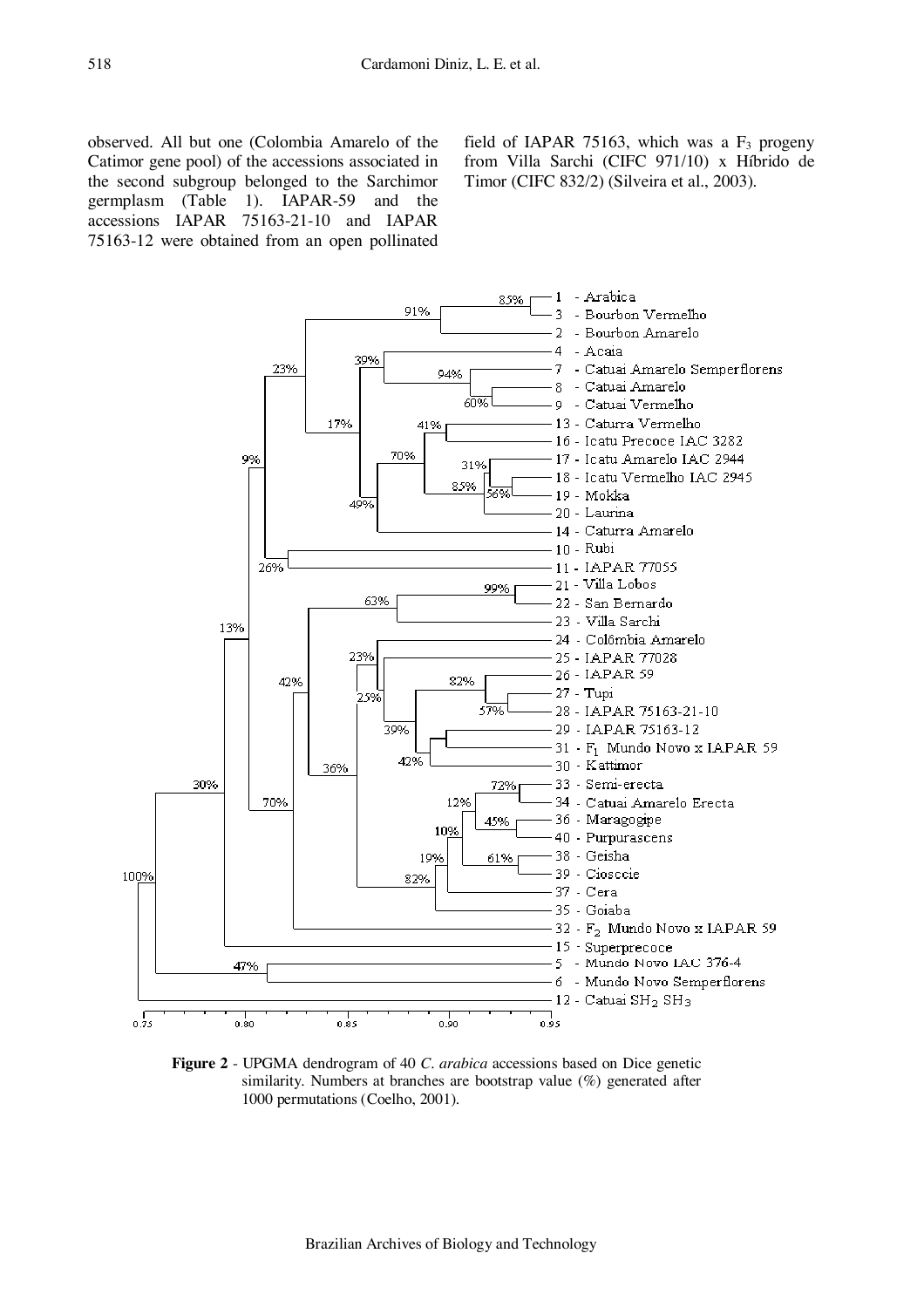observed. All but one (Colombia Amarelo of the Catimor gene pool) of the accessions associated in the second subgroup belonged to the Sarchimor germplasm (Table 1). IAPAR-59 and the accessions IAPAR 75163-21-10 and IAPAR 75163-12 were obtained from an open pollinated

field of IAPAR 75163, which was a  $F_3$  progeny from Villa Sarchi (CIFC 971/10) x Híbrido de Timor (CIFC 832/2) (Silveira et al., 2003).



**Figure 2** - UPGMA dendrogram of 40 *C. arabica* accessions based on Dice genetic similarity. Numbers at branches are bootstrap value (%) generated after 1000 permutations (Coelho, 2001).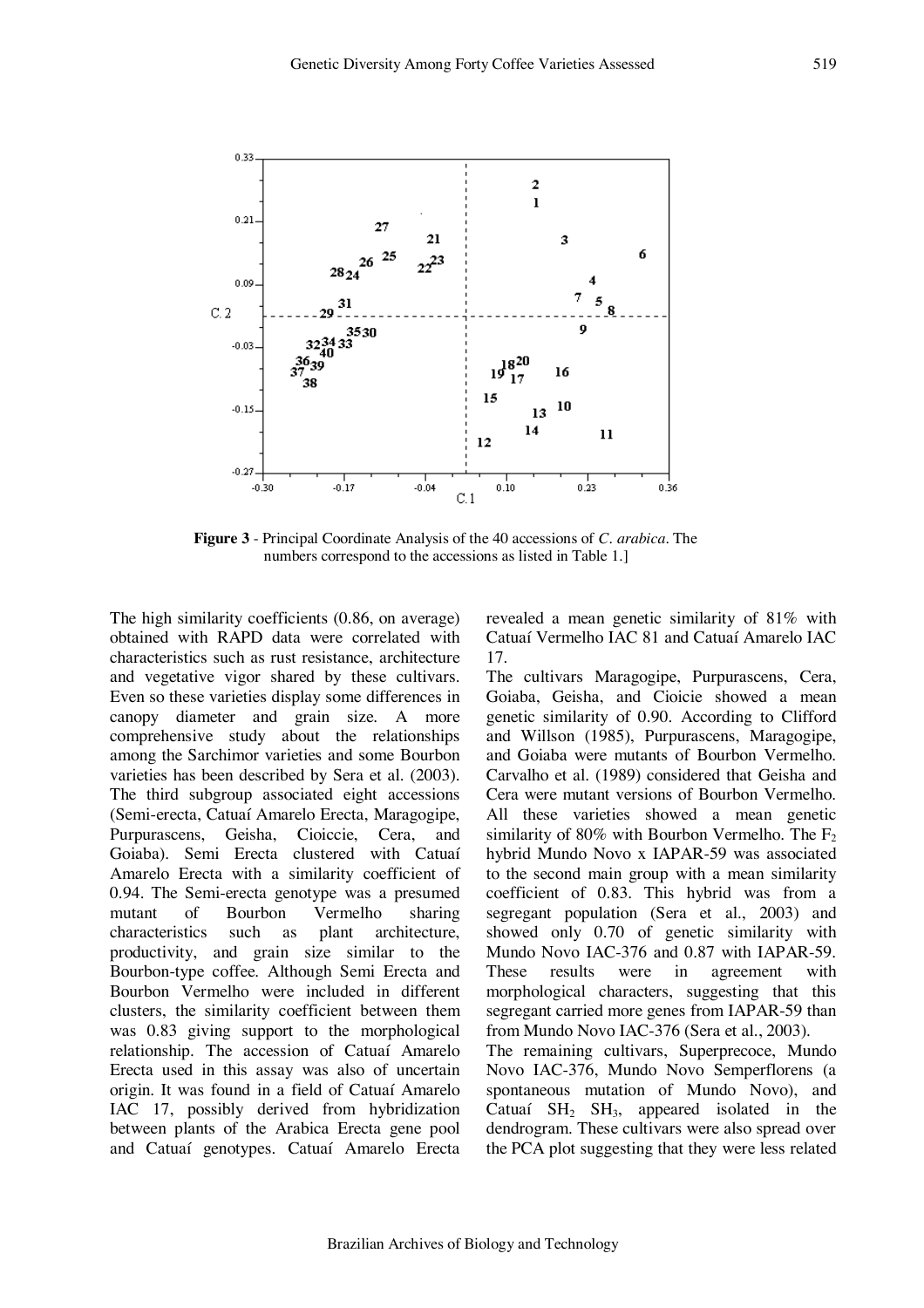

**Figure 3** - Principal Coordinate Analysis of the 40 accessions of *C. arabica.* The numbers correspond to the accessions as listed in Table 1.]

The high similarity coefficients (0.86, on average) obtained with RAPD data were correlated with characteristics such as rust resistance, architecture and vegetative vigor shared by these cultivars. Even so these varieties display some differences in canopy diameter and grain size. A more comprehensive study about the relationships among the Sarchimor varieties and some Bourbon varieties has been described by Sera et al. (2003). The third subgroup associated eight accessions (Semi-erecta, Catuaí Amarelo Erecta, Maragogipe, Purpurascens, Geisha, Cioiccie, Cera, and Goiaba). Semi Erecta clustered with Catuaí Amarelo Erecta with a similarity coefficient of 0.94. The Semi-erecta genotype was a presumed mutant of Bourbon Vermelho sharing characteristics such as plant architecture, productivity, and grain size similar to the Bourbon-type coffee. Although Semi Erecta and Bourbon Vermelho were included in different clusters, the similarity coefficient between them was 0.83 giving support to the morphological relationship. The accession of Catuaí Amarelo Erecta used in this assay was also of uncertain origin. It was found in a field of Catuaí Amarelo IAC 17, possibly derived from hybridization between plants of the Arabica Erecta gene pool and Catuaí genotypes. Catuaí Amarelo Erecta revealed a mean genetic similarity of 81% with Catuaí Vermelho IAC 81 and Catuaí Amarelo IAC 17.

The cultivars Maragogipe, Purpurascens, Cera, Goiaba, Geisha, and Cioicie showed a mean genetic similarity of 0.90. According to Clifford and Willson (1985), Purpurascens, Maragogipe, and Goiaba were mutants of Bourbon Vermelho. Carvalho et al*.* (1989) considered that Geisha and Cera were mutant versions of Bourbon Vermelho. All these varieties showed a mean genetic similarity of 80% with Bourbon Vermelho. The  $F_2$ hybrid Mundo Novo x IAPAR-59 was associated to the second main group with a mean similarity coefficient of 0.83. This hybrid was from a segregant population (Sera et al., 2003) and showed only 0.70 of genetic similarity with Mundo Novo IAC-376 and 0.87 with IAPAR-59. These results were in agreement with morphological characters, suggesting that this segregant carried more genes from IAPAR-59 than from Mundo Novo IAC-376 (Sera et al*.*, 2003). The remaining cultivars, Superprecoce, Mundo

Novo IAC-376, Mundo Novo Semperflorens (a spontaneous mutation of Mundo Novo), and Catuaí  $SH_2$   $SH_3$ , appeared isolated in the dendrogram. These cultivars were also spread over the PCA plot suggesting that they were less related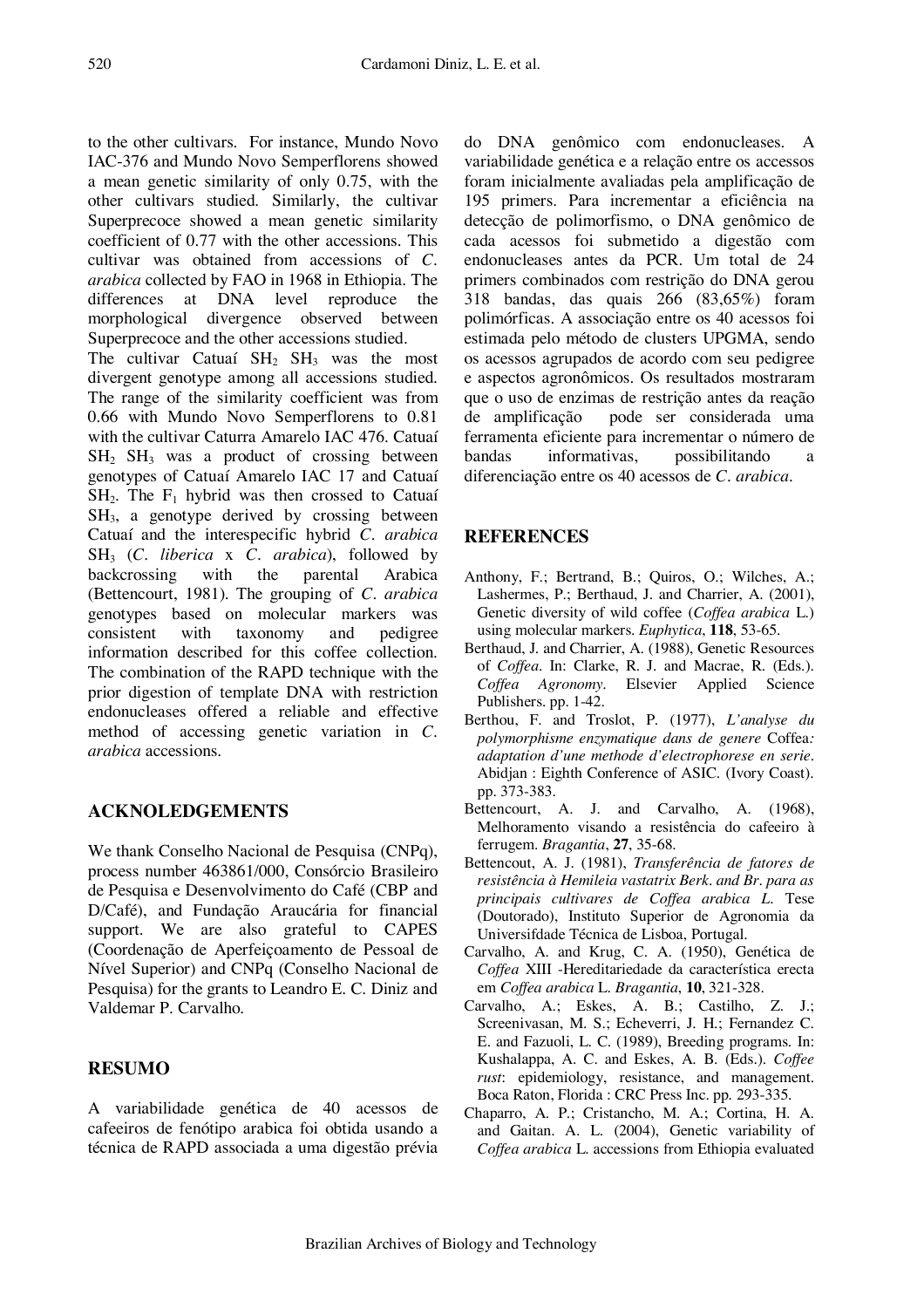to the other cultivars. For instance, Mundo Novo IAC-376 and Mundo Novo Semperflorens showed a mean genetic similarity of only 0.75, with the other cultivars studied. Similarly, the cultivar Superprecoce showed a mean genetic similarity coefficient of 0.77 with the other accessions. This cultivar was obtained from accessions of *C. arabica* collected by FAO in 1968 in Ethiopia. The differences at DNA level reproduce the morphological divergence observed between Superprecoce and the other accessions studied.

The cultivar Catuaí  $SH_2$   $SH_3$  was the most divergent genotype among all accessions studied. The range of the similarity coefficient was from 0.66 with Mundo Novo Semperflorens to 0.81 with the cultivar Caturra Amarelo IAC 476. Catuaí  $SH<sub>2</sub>$  SH<sub>3</sub> was a product of crossing between genotypes of Catuaí Amarelo IAC 17 and Catuaí  $SH<sub>2</sub>$ . The  $F<sub>1</sub>$  hybrid was then crossed to Catuaí SH3, a genotype derived by crossing between Catuaí and the interespecific hybrid *C. arabica* SH3 (*C. liberica* x *C. arabica*), followed by backcrossing with the parental Arabica (Bettencourt, 1981). The grouping of *C. arabica* genotypes based on molecular markers was consistent with taxonomy and pedigree information described for this coffee collection. The combination of the RAPD technique with the prior digestion of template DNA with restriction endonucleases offered a reliable and effective method of accessing genetic variation in *C. arabica* accessions.

## **ACKNOLEDGEMENTS**

We thank Conselho Nacional de Pesquisa (CNPq), process number 463861/000, Consórcio Brasileiro de Pesquisa e Desenvolvimento do Café (CBP and D/Café), and Fundação Araucária for financial support. We are also grateful to CAPES (Coordenação de Aperfeiçoamento de Pessoal de Nível Superior) and CNPq (Conselho Nacional de Pesquisa) for the grants to Leandro E. C. Diniz and Valdemar P. Carvalho.

## **RESUMO**

A variabilidade genética de 40 acessos de cafeeiros de fenótipo arabica foi obtida usando a técnica de RAPD associada a uma digestão prévia

do DNA genômico com endonucleases. A variabilidade genética e a relação entre os accessos foram inicialmente avaliadas pela amplificação de 195 primers. Para incrementar a eficiência na detecção de polimorfismo, o DNA genômico de cada acessos foi submetido a digestão com endonucleases antes da PCR. Um total de 24 primers combinados com restrição do DNA gerou 318 bandas, das quais 266 (83,65%) foram polimórficas. A associação entre os 40 acessos foi estimada pelo método de clusters UPGMA, sendo os acessos agrupados de acordo com seu pedigree e aspectos agronômicos. Os resultados mostraram que o uso de enzimas de restrição antes da reação de amplificação pode ser considerada uma ferramenta eficiente para incrementar o número de bandas informativas, possibilitando a diferenciação entre os 40 acessos de *C. arabica*.

## **REFERENCES**

- Anthony, F.; Bertrand, B.; Quiros, O.; Wilches, A.; Lashermes, P.; Berthaud, J. and Charrier, A. (2001), Genetic diversity of wild coffee (*Coffea arabica* L.) using molecular markers. *Euphytica*, **118**, 53-65.
- Berthaud, J. and Charrier, A. (1988), Genetic Resources of *Coffea.* In: Clarke, R. J. and Macrae, R. (Eds.). *Coffea Agronomy*. Elsevier Applied Science Publishers. pp. 1-42.
- Berthou, F. and Troslot, P. (1977), *L'analyse du polymorphisme enzymatique dans de genere* Coffea*: adaptation d'une methode d'electrophorese en serie.* Abidjan : Eighth Conference of ASIC. (Ivory Coast). pp. 373-383.
- Bettencourt, A. J. and Carvalho, A. (1968), Melhoramento visando a resistência do cafeeiro à ferrugem. *Bragantia*, **27**, 35-68.
- Bettencout, A. J. (1981), *Transferência de fatores de resistência à Hemileia vastatrix Berk. and Br. para as principais cultivares de Coffea arabica L.* Tese (Doutorado), Instituto Superior de Agronomia da Universifdade Técnica de Lisboa, Portugal.
- Carvalho, A. and Krug, C. A. (1950), Genética de *Coffea* XIII -Hereditariedade da característica erecta em *Coffea arabica* L. *Bragantia*, **10**, 321-328.
- Carvalho, A.; Eskes, A. B.; Castilho, Z. J.; Screenivasan, M. S.; Echeverri, J. H.; Fernandez C. E. and Fazuoli, L. C. (1989), Breeding programs. In: Kushalappa, A. C. and Eskes, A. B. (Eds.). *Coffee rust*: epidemiology, resistance, and management. Boca Raton, Florida : CRC Press Inc. pp. 293-335.
- Chaparro, A. P.; Cristancho, M. A.; Cortina, H. A. and Gaitan. A. L. (2004), Genetic variability of *Coffea arabica* L. accessions from Ethiopia evaluated